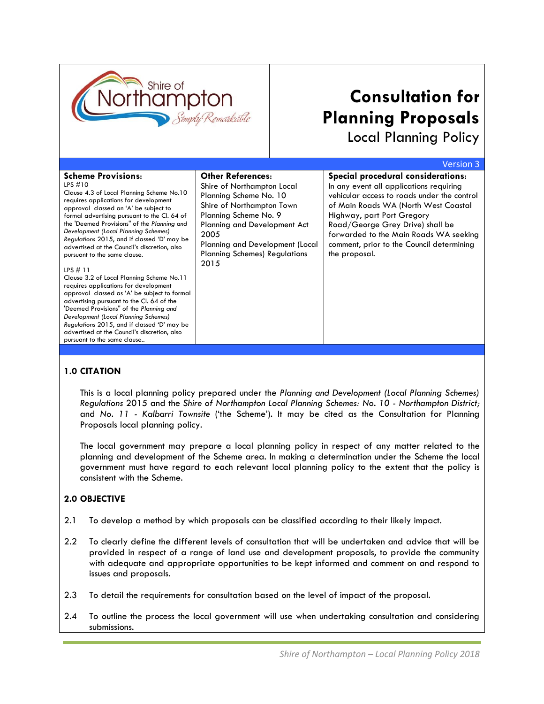

# **Consultation for Planning Proposals**

Local Planning Policy

|                                                                                                                                                                                                                                                                                                                                                                                                                                                                                                                                                                                                                                                                                                                                                                                                                                                              |                                                                                                                                                                                                                                                                   | <b>Version 3</b>                                                                                                                                                                                                                                                                                                                               |
|--------------------------------------------------------------------------------------------------------------------------------------------------------------------------------------------------------------------------------------------------------------------------------------------------------------------------------------------------------------------------------------------------------------------------------------------------------------------------------------------------------------------------------------------------------------------------------------------------------------------------------------------------------------------------------------------------------------------------------------------------------------------------------------------------------------------------------------------------------------|-------------------------------------------------------------------------------------------------------------------------------------------------------------------------------------------------------------------------------------------------------------------|------------------------------------------------------------------------------------------------------------------------------------------------------------------------------------------------------------------------------------------------------------------------------------------------------------------------------------------------|
| <b>Scheme Provisions:</b><br>LPS $#10$<br>Clause 4.3 of Local Planning Scheme No.10<br>requires applications for development<br>approval classed an 'A' be subject to<br>formal advertising pursuant to the Cl. 64 of<br>the 'Deemed Provisions" of the Planning and<br>Development (Local Planning Schemes)<br>Regulations 2015, and if classed 'D' may be<br>advertised at the Council's discretion, also<br>pursuant to the same clause.<br>LPS $#11$<br>Clause 3.2 of Local Planning Scheme No.11<br>requires applications for development<br>approval classed as 'A' be subject to formal<br>advertising pursuant to the Cl. 64 of the<br>'Deemed Provisions" of the Planning and<br>Development (Local Planning Schemes)<br>Regulations 2015, and if classed 'D' may be<br>advertised at the Council's discretion, also<br>pursuant to the same clause | <b>Other References:</b><br>Shire of Northampton Local<br>Planning Scheme No. 10<br>Shire of Northampton Town<br>Planning Scheme No. 9<br>Planning and Development Act<br>2005<br>Planning and Development (Local<br><b>Planning Schemes) Regulations</b><br>2015 | Special procedural considerations:<br>In any event all applications requiring<br>vehicular access to roads under the control<br>of Main Roads WA (North West Coastal<br>Highway, part Port Gregory<br>Road/George Grey Drive) shall be<br>forwarded to the Main Roads WA seeking<br>comment, prior to the Council determining<br>the proposal. |

#### **1.0 CITATION**

This is a local planning policy prepared under the *Planning and Development (Local Planning Schemes) Regulations* 2015 and the *Shire of Northampton Local Planning Schemes: No. 10 - Northampton District;*  and *No. 11 - Kalbarri Townsite* ('the Scheme'). It may be cited as the Consultation for Planning Proposals local planning policy.

The local government may prepare a local planning policy in respect of any matter related to the planning and development of the Scheme area. In making a determination under the Scheme the local government must have regard to each relevant local planning policy to the extent that the policy is consistent with the Scheme.

## **2.0 OBJECTIVE**

- 2.1 To develop a method by which proposals can be classified according to their likely impact.
- 2.2 To clearly define the different levels of consultation that will be undertaken and advice that will be provided in respect of a range of land use and development proposals, to provide the community with adequate and appropriate opportunities to be kept informed and comment on and respond to issues and proposals.
- 2.3 To detail the requirements for consultation based on the level of impact of the proposal.
- 2.4 To outline the process the local government will use when undertaking consultation and considering submissions.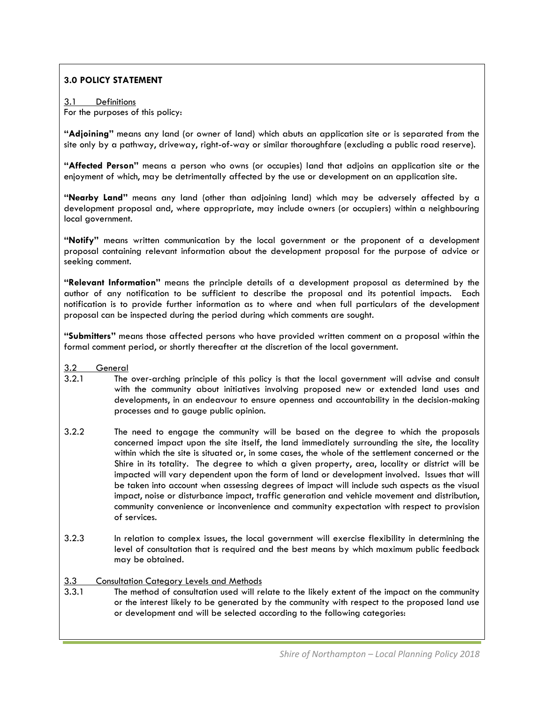# **3.0 POLICY STATEMENT**

#### 3.1 Definitions For the purposes of this policy:

**"Adjoining"** means any land (or owner of land) which abuts an application site or is separated from the site only by a pathway, driveway, right-of-way or similar thoroughfare (excluding a public road reserve).

**"Affected Person"** means a person who owns (or occupies) land that adjoins an application site or the enjoyment of which, may be detrimentally affected by the use or development on an application site.

**"Nearby Land"** means any land (other than adjoining land) which may be adversely affected by a development proposal and, where appropriate, may include owners (or occupiers) within a neighbouring local government.

**"Notify"** means written communication by the local government or the proponent of a development proposal containing relevant information about the development proposal for the purpose of advice or seeking comment.

**"Relevant Information"** means the principle details of a development proposal as determined by the author of any notification to be sufficient to describe the proposal and its potential impacts. Each notification is to provide further information as to where and when full particulars of the development proposal can be inspected during the period during which comments are sought.

**"Submitters"** means those affected persons who have provided written comment on a proposal within the formal comment period, or shortly thereafter at the discretion of the local government.

- 3.2 General
- 3.2.1 The over-arching principle of this policy is that the local government will advise and consult with the community about initiatives involving proposed new or extended land uses and developments, in an endeavour to ensure openness and accountability in the decision-making processes and to gauge public opinion.
- 3.2.2 The need to engage the community will be based on the degree to which the proposals concerned impact upon the site itself, the land immediately surrounding the site, the locality within which the site is situated or, in some cases, the whole of the settlement concerned or the Shire in its totality. The degree to which a given property, area, locality or district will be impacted will vary dependent upon the form of land or development involved. Issues that will be taken into account when assessing degrees of impact will include such aspects as the visual impact, noise or disturbance impact, traffic generation and vehicle movement and distribution, community convenience or inconvenience and community expectation with respect to provision of services.
- 3.2.3 In relation to complex issues, the local government will exercise flexibility in determining the level of consultation that is required and the best means by which maximum public feedback may be obtained.

#### 3.3 Consultation Category Levels and Methods

3.3.1 The method of consultation used will relate to the likely extent of the impact on the community or the interest likely to be generated by the community with respect to the proposed land use or development and will be selected according to the following categories: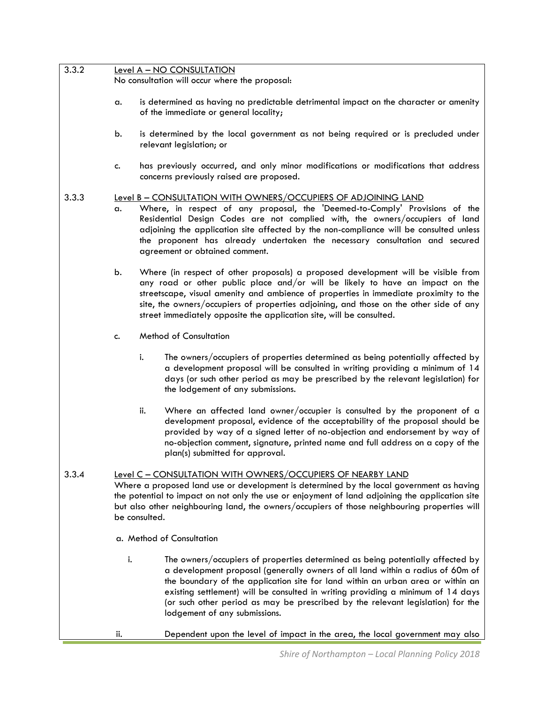| 3.3.2 |     | Level A - NO CONSULTATION                                                                                                                                                                                                                                                                                                                                                                                                                                   |
|-------|-----|-------------------------------------------------------------------------------------------------------------------------------------------------------------------------------------------------------------------------------------------------------------------------------------------------------------------------------------------------------------------------------------------------------------------------------------------------------------|
|       |     | No consultation will occur where the proposal:                                                                                                                                                                                                                                                                                                                                                                                                              |
|       | a.  | is determined as having no predictable detrimental impact on the character or amenity<br>of the immediate or general locality;                                                                                                                                                                                                                                                                                                                              |
|       | b.  | is determined by the local government as not being required or is precluded under<br>relevant legislation; or                                                                                                                                                                                                                                                                                                                                               |
|       | c.  | has previously occurred, and only minor modifications or modifications that address<br>concerns previously raised are proposed.                                                                                                                                                                                                                                                                                                                             |
| 3.3.3 | a.  | Level B - CONSULTATION WITH OWNERS/OCCUPIERS OF ADJOINING LAND<br>Where, in respect of any proposal, the 'Deemed-to-Comply' Provisions of the<br>Residential Design Codes are not complied with, the owners/occupiers of land<br>adjoining the application site affected by the non-compliance will be consulted unless<br>the proponent has already undertaken the necessary consultation and secured<br>agreement or obtained comment.                    |
|       | b.  | Where (in respect of other proposals) a proposed development will be visible from<br>any road or other public place and/or will be likely to have an impact on the<br>streetscape, visual amenity and ambience of properties in immediate proximity to the<br>site, the owners/occupiers of properties adjoining, and those on the other side of any<br>street immediately opposite the application site, will be consulted.                                |
|       | c.  | <b>Method of Consultation</b>                                                                                                                                                                                                                                                                                                                                                                                                                               |
|       |     | i.<br>The owners/occupiers of properties determined as being potentially affected by<br>a development proposal will be consulted in writing providing a minimum of 14<br>days (or such other period as may be prescribed by the relevant legislation) for<br>the lodgement of any submissions.                                                                                                                                                              |
|       |     | Where an affected land owner/occupier is consulted by the proponent of a<br>ii.<br>development proposal, evidence of the acceptability of the proposal should be<br>provided by way of a signed letter of no-objection and endorsement by way of<br>no-objection comment, signature, printed name and full address on a copy of the<br>plan(s) submitted for approval.                                                                                      |
| 3.3.4 |     | Level C - CONSULTATION WITH OWNERS/OCCUPIERS OF NEARBY LAND<br>Where a proposed land use or development is determined by the local government as having<br>the potential to impact on not only the use or enjoyment of land adjoining the application site<br>but also other neighbouring land, the owners/occupiers of those neighbouring properties will<br>be consulted.                                                                                 |
|       |     | a. Method of Consultation                                                                                                                                                                                                                                                                                                                                                                                                                                   |
|       | i.  | The owners/occupiers of properties determined as being potentially affected by<br>a development proposal (generally owners of all land within a radius of 60m of<br>the boundary of the application site for land within an urban area or within an<br>existing settlement) will be consulted in writing providing a minimum of 14 days<br>(or such other period as may be prescribed by the relevant legislation) for the<br>lodgement of any submissions. |
|       | ii. | Dependent upon the level of impact in the area, the local government may also                                                                                                                                                                                                                                                                                                                                                                               |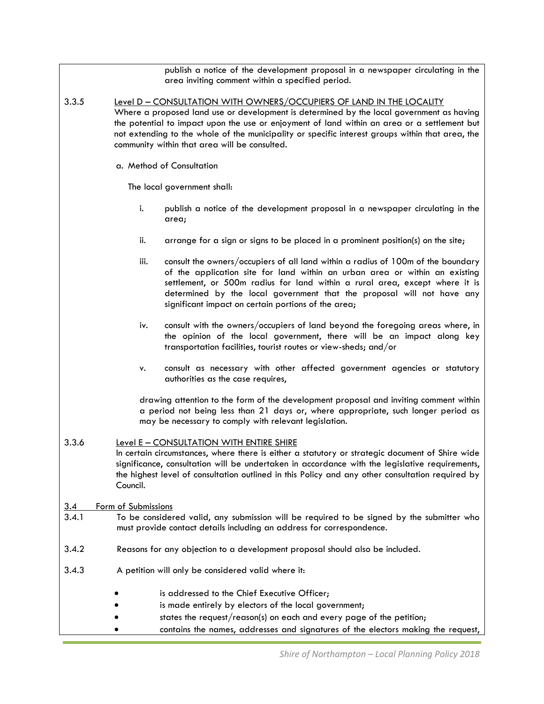publish a notice of the development proposal in a newspaper circulating in the area inviting comment within a specified period.

- 3.3.5 Level D CONSULTATION WITH OWNERS/OCCUPIERS OF LAND IN THE LOCALITY Where a proposed land use or development is determined by the local government as having the potential to impact upon the use or enjoyment of land within an area or a settlement but not extending to the whole of the municipality or specific interest groups within that area, the community within that area will be consulted.
	- a. Method of Consultation

The local government shall:

- i. publish a notice of the development proposal in a newspaper circulating in the area;
- ii. arrange for a sign or signs to be placed in a prominent position(s) on the site;
- iii. consult the owners/occupiers of all land within a radius of 100m of the boundary of the application site for land within an urban area or within an existing settlement, or 500m radius for land within a rural area, except where it is determined by the local government that the proposal will not have any significant impact on certain portions of the area;
- iv. consult with the owners/occupiers of land beyond the foregoing areas where, in the opinion of the local government, there will be an impact along key transportation facilities, tourist routes or view-sheds; and/or
- v. consult as necessary with other affected government agencies or statutory authorities as the case requires,

drawing attention to the form of the development proposal and inviting comment within a period not being less than 21 days or, where appropriate, such longer period as may be necessary to comply with relevant legislation.

- 3.3.6 Level E CONSULTATION WITH ENTIRE SHIRE In certain circumstances, where there is either a statutory or strategic document of Shire wide significance, consultation will be undertaken in accordance with the legislative requirements, the highest level of consultation outlined in this Policy and any other consultation required by Council.
- 3.4 Form of Submissions
- 3.4.1 To be considered valid, any submission will be required to be signed by the submitter who must provide contact details including an address for correspondence.
- 3.4.2 Reasons for any objection to a development proposal should also be included.
- 3.4.3 A petition will only be considered valid where it:
	- is addressed to the Chief Executive Officer:
	- is made entirely by electors of the local government;
	- states the request/reason(s) on each and every page of the petition;
	- contains the names, addresses and signatures of the electors making the request,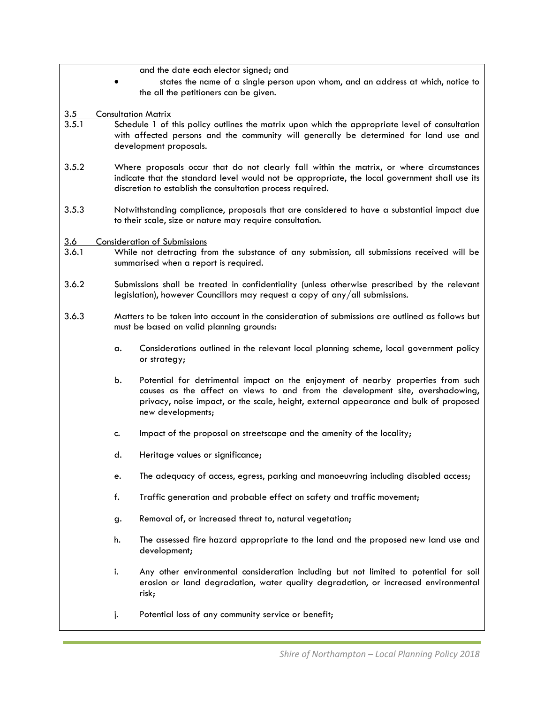and the date each elector signed; and

- states the name of a single person upon whom, and an address at which, notice to the all the petitioners can be given.
- 3.5 Consultation Matrix
- 3.5.1 Schedule 1 of this policy outlines the matrix upon which the appropriate level of consultation with affected persons and the community will generally be determined for land use and development proposals.
- 3.5.2 Where proposals occur that do not clearly fall within the matrix, or where circumstances indicate that the standard level would not be appropriate, the local government shall use its discretion to establish the consultation process required.
- 3.5.3 Notwithstanding compliance, proposals that are considered to have a substantial impact due to their scale, size or nature may require consultation.

#### 3.6 Consideration of Submissions

- 3.6.1 While not detracting from the substance of any submission, all submissions received will be summarised when a report is required.
- 3.6.2 Submissions shall be treated in confidentiality (unless otherwise prescribed by the relevant legislation), however Councillors may request a copy of any/all submissions.
- 3.6.3 Matters to be taken into account in the consideration of submissions are outlined as follows but must be based on valid planning grounds:
	- a. Considerations outlined in the relevant local planning scheme, local government policy or strategy;
	- b. Potential for detrimental impact on the enjoyment of nearby properties from such causes as the affect on views to and from the development site, overshadowing, privacy, noise impact, or the scale, height, external appearance and bulk of proposed new developments;
	- c. Impact of the proposal on streetscape and the amenity of the locality;
	- d. Heritage values or significance;
	- e. The adequacy of access, egress, parking and manoeuvring including disabled access;
	- f. Traffic generation and probable effect on safety and traffic movement;
	- g. Removal of, or increased threat to, natural vegetation;
	- h. The assessed fire hazard appropriate to the land and the proposed new land use and development;
	- i. Any other environmental consideration including but not limited to potential for soil erosion or land degradation, water quality degradation, or increased environmental risk;
	- j. Potential loss of any community service or benefit;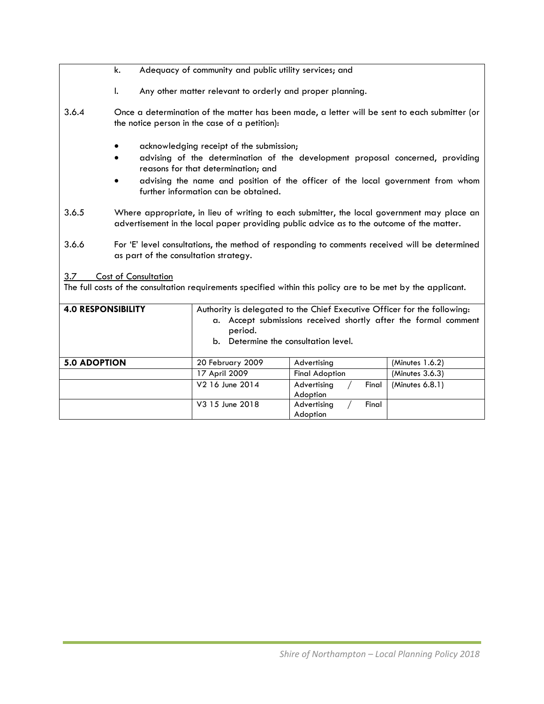- k. Adequacy of community and public utility services; and
- l. Any other matter relevant to orderly and proper planning.
- 3.6.4 Once a determination of the matter has been made, a letter will be sent to each submitter (or the notice person in the case of a petition):
	- acknowledging receipt of the submission;
	- advising of the determination of the development proposal concerned, providing reasons for that determination; and
	- advising the name and position of the officer of the local government from whom further information can be obtained.
- 3.6.5 Where appropriate, in lieu of writing to each submitter, the local government may place an advertisement in the local paper providing public advice as to the outcome of the matter.
- 3.6.6 For 'E' level consultations, the method of responding to comments received will be determined as part of the consultation strategy.

3.7 Cost of Consultation

The full costs of the consultation requirements specified within this policy are to be met by the applicant.

| <b>4.0 RESPONSIBILITY</b> | period.<br>b. Determine the consultation level. | Authority is delegated to the Chief Executive Officer for the following:<br>a. Accept submissions received shortly after the formal comment |                 |
|---------------------------|-------------------------------------------------|---------------------------------------------------------------------------------------------------------------------------------------------|-----------------|
| <b>5.0 ADOPTION</b>       | 20 February 2009                                | Advertising                                                                                                                                 | (Minutes 1.6.2) |
|                           | 17 April 2009                                   | <b>Final Adoption</b>                                                                                                                       | (Minutes 3.6.3) |
|                           | V2 16 June 2014                                 | Advertising<br>Final<br>Adoption                                                                                                            | (Minutes 6.8.1) |
|                           | V3 15 June 2018                                 | Advertising<br>Final<br>Adoption                                                                                                            |                 |